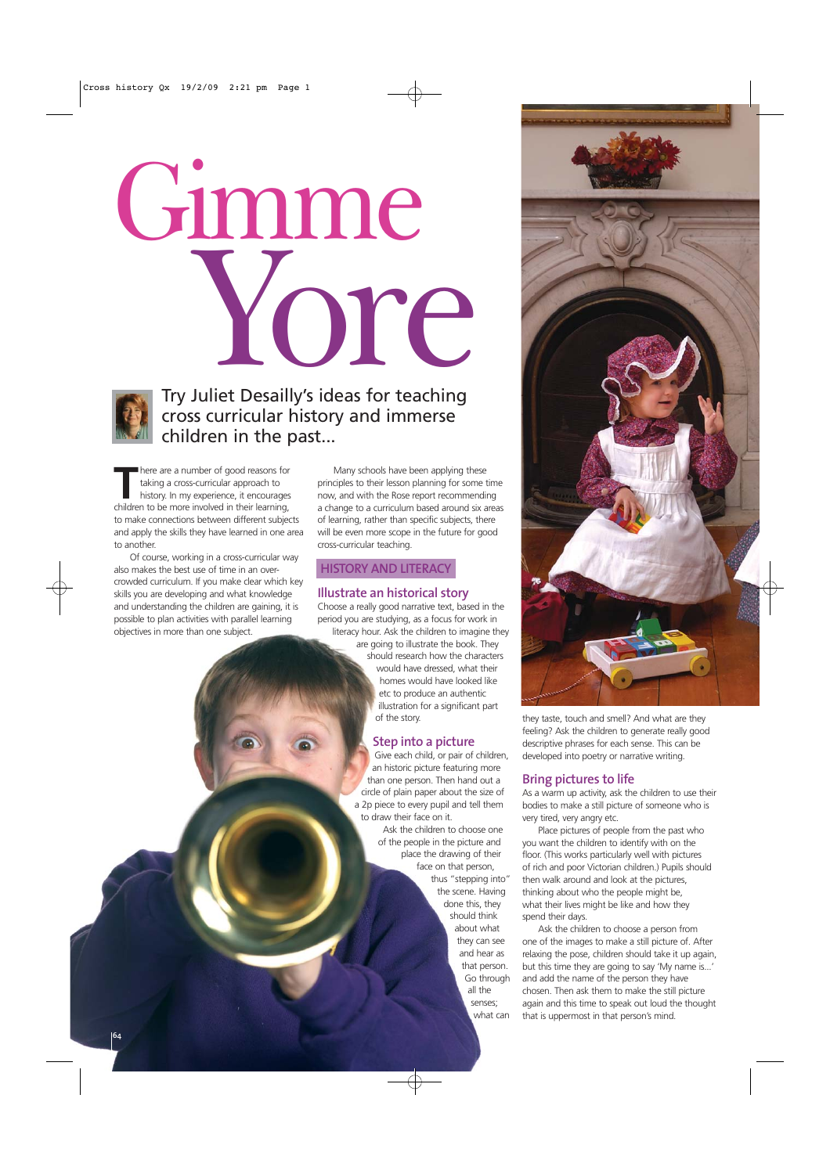



### Try Juliet Desailly's ideas for teaching cross curricular history and immerse children in the past...

There are a number of good reasons for<br>
taking a cross-curricular approach to<br>
history. In my experience, it encourages<br>
children to be more involved in their learning taking a cross-curricular approach to children to be more involved in their learning, to make connections between different subjects and apply the skills they have learned in one area to another.

Of course, working in a cross-curricular way also makes the best use of time in an overcrowded curriculum. If you make clear which key skills you are developing and what knowledge and understanding the children are gaining, it is possible to plan activities with parallel learning objectives in more than one subject.

Many schools have been applying these principles to their lesson planning for some time now, and with the Rose report recommending a change to a curriculum based around six areas of learning, rather than specific subjects, there will be even more scope in the future for good cross-curricular teaching.

### **HISTORY AND LITERACY**

### **Illustrate an historical story**

Choose a really good narrative text, based in the period you are studying, as a focus for work in literacy hour. Ask the children to imagine they

> are going to illustrate the book. They should research how the characters would have dressed, what their homes would have looked like etc to produce an authentic illustration for a significant part of the story.

### **Step into a picture**

Give each child, or pair of children, an historic picture featuring more than one person. Then hand out a circle of plain paper about the size of a 2p piece to every pupil and tell them to draw their face on it.

Ask the children to choose one of the people in the picture and place the drawing of their face on that person, thus "stepping into" the scene. Having done this, they should think about what they can see and hear as that person. Go through all the senses; what can



they taste, touch and smell? And what are they feeling? Ask the children to generate really good descriptive phrases for each sense. This can be developed into poetry or narrative writing.

### **Bring pictures to life**

As a warm up activity, ask the children to use their bodies to make a still picture of someone who is very tired, very angry etc.

Place pictures of people from the past who you want the children to identify with on the floor. (This works particularly well with pictures of rich and poor Victorian children.) Pupils should then walk around and look at the pictures, thinking about who the people might be, what their lives might be like and how they spend their days.

Ask the children to choose a person from one of the images to make a still picture of. After relaxing the pose, children should take it up again, but this time they are going to say 'My name is...' and add the name of the person they have chosen. Then ask them to make the still picture again and this time to speak out loud the thought that is uppermost in that person's mind.